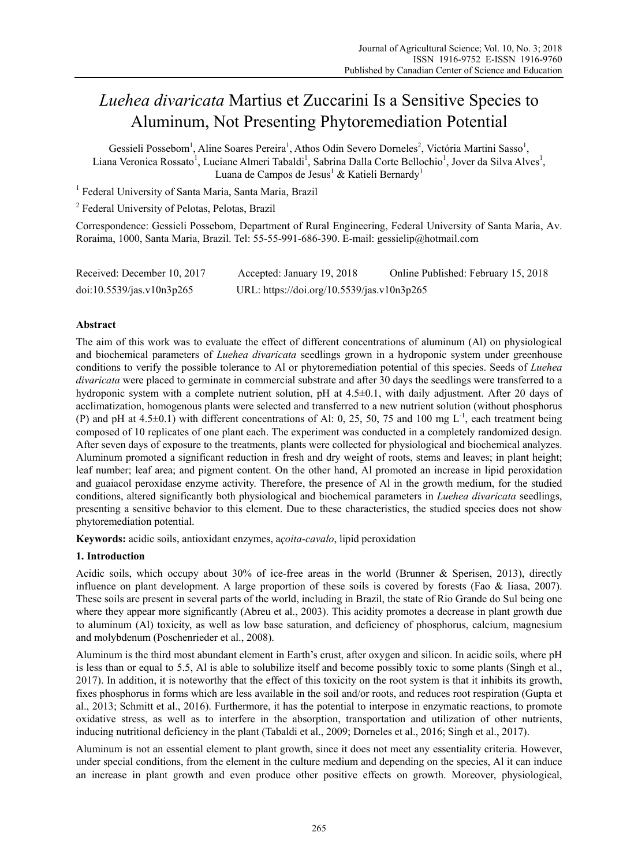# *Luehea divaricata* Martius et Zuccarini Is a Sensitive Species to Aluminum, Not Presenting Phytoremediation Potential

Gessieli Possebom<sup>1</sup>, Aline Soares Pereira<sup>1</sup>, Athos Odin Severo Dorneles<sup>2</sup>, Victória Martini Sasso<sup>1</sup>, Liana Veronica Rossato<sup>1</sup>, Luciane Almeri Tabaldi<sup>1</sup>, Sabrina Dalla Corte Bellochio<sup>1</sup>, Jover da Silva Alves<sup>1</sup>, Luana de Campos de Jesus<sup>1</sup> & Katieli Bernardy<sup>1</sup>

<sup>1</sup> Federal University of Santa Maria, Santa Maria, Brazil

<sup>2</sup> Federal University of Pelotas, Pelotas, Brazil

Correspondence: Gessieli Possebom, Department of Rural Engineering, Federal University of Santa Maria, Av. Roraima, 1000, Santa Maria, Brazil. Tel: 55-55-991-686-390. E-mail: gessielip@hotmail.com

| Received: December 10, 2017 | Accepted: January 19, 2018                 | Online Published: February 15, 2018 |
|-----------------------------|--------------------------------------------|-------------------------------------|
| doi:10.5539/jas.v10n3p265   | URL: https://doi.org/10.5539/jas.v10n3p265 |                                     |

# **Abstract**

The aim of this work was to evaluate the effect of different concentrations of aluminum (Al) on physiological and biochemical parameters of *Luehea divaricata* seedlings grown in a hydroponic system under greenhouse conditions to verify the possible tolerance to Al or phytoremediation potential of this species. Seeds of *Luehea divaricata* were placed to germinate in commercial substrate and after 30 days the seedlings were transferred to a hydroponic system with a complete nutrient solution, pH at  $4.5\pm0.1$ , with daily adjustment. After 20 days of acclimatization, homogenous plants were selected and transferred to a new nutrient solution (without phosphorus (P) and pH at  $4.5\pm0.1$ ) with different concentrations of Al: 0, 25, 50, 75 and 100 mg L<sup>-1</sup>, each treatment being composed of 10 replicates of one plant each. The experiment was conducted in a completely randomized design. After seven days of exposure to the treatments, plants were collected for physiological and biochemical analyzes. Aluminum promoted a significant reduction in fresh and dry weight of roots, stems and leaves; in plant height; leaf number; leaf area; and pigment content. On the other hand, Al promoted an increase in lipid peroxidation and guaiacol peroxidase enzyme activity. Therefore, the presence of Al in the growth medium, for the studied conditions, altered significantly both physiological and biochemical parameters in *Luehea divaricata* seedlings, presenting a sensitive behavior to this element. Due to these characteristics, the studied species does not show phytoremediation potential.

**Keywords:** acidic soils, antioxidant enzymes, a*çoita-cavalo*, lipid peroxidation

# **1. Introduction**

Acidic soils, which occupy about 30% of ice-free areas in the world (Brunner & Sperisen, 2013), directly influence on plant development. A large proportion of these soils is covered by forests (Fao & Iiasa, 2007). These soils are present in several parts of the world, including in Brazil, the state of Rio Grande do Sul being one where they appear more significantly (Abreu et al., 2003). This acidity promotes a decrease in plant growth due to aluminum (Al) toxicity, as well as low base saturation, and deficiency of phosphorus, calcium, magnesium and molybdenum (Poschenrieder et al., 2008).

Aluminum is the third most abundant element in Earth's crust, after oxygen and silicon. In acidic soils, where pH is less than or equal to 5.5, Al is able to solubilize itself and become possibly toxic to some plants (Singh et al., 2017). In addition, it is noteworthy that the effect of this toxicity on the root system is that it inhibits its growth, fixes phosphorus in forms which are less available in the soil and/or roots, and reduces root respiration (Gupta et al., 2013; Schmitt et al., 2016). Furthermore, it has the potential to interpose in enzymatic reactions, to promote oxidative stress, as well as to interfere in the absorption, transportation and utilization of other nutrients, inducing nutritional deficiency in the plant (Tabaldi et al., 2009; Dorneles et al., 2016; Singh et al., 2017).

Aluminum is not an essential element to plant growth, since it does not meet any essentiality criteria. However, under special conditions, from the element in the culture medium and depending on the species, Al it can induce an increase in plant growth and even produce other positive effects on growth. Moreover, physiological,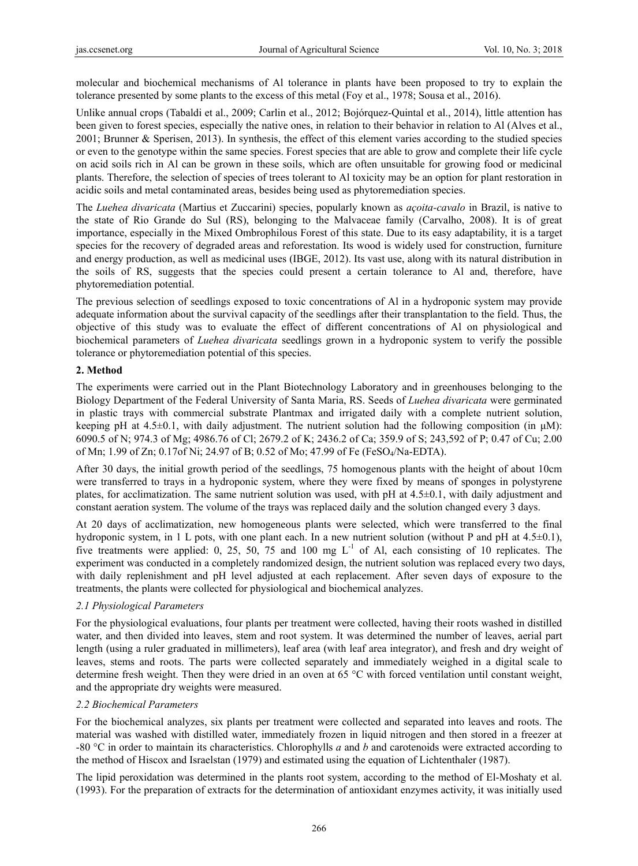molecular and biochemical mechanisms of Al tolerance in plants have been proposed to try to explain the tolerance presented by some plants to the excess of this metal (Foy et al., 1978; Sousa et al., 2016).

Unlike annual crops (Tabaldi et al., 2009; Carlin et al., 2012; Bojórquez-Quintal et al., 2014), little attention has been given to forest species, especially the native ones, in relation to their behavior in relation to Al (Alves et al., 2001; Brunner & Sperisen, 2013). In synthesis, the effect of this element varies according to the studied species or even to the genotype within the same species. Forest species that are able to grow and complete their life cycle on acid soils rich in Al can be grown in these soils, which are often unsuitable for growing food or medicinal plants. Therefore, the selection of species of trees tolerant to Al toxicity may be an option for plant restoration in acidic soils and metal contaminated areas, besides being used as phytoremediation species.

The *Luehea divaricata* (Martius et Zuccarini) species, popularly known as *açoita-cavalo* in Brazil, is native to the state of Rio Grande do Sul (RS), belonging to the Malvaceae family (Carvalho, 2008). It is of great importance, especially in the Mixed Ombrophilous Forest of this state. Due to its easy adaptability, it is a target species for the recovery of degraded areas and reforestation. Its wood is widely used for construction, furniture and energy production, as well as medicinal uses (IBGE, 2012). Its vast use, along with its natural distribution in the soils of RS, suggests that the species could present a certain tolerance to Al and, therefore, have phytoremediation potential.

The previous selection of seedlings exposed to toxic concentrations of Al in a hydroponic system may provide adequate information about the survival capacity of the seedlings after their transplantation to the field. Thus, the objective of this study was to evaluate the effect of different concentrations of Al on physiological and biochemical parameters of *Luehea divaricata* seedlings grown in a hydroponic system to verify the possible tolerance or phytoremediation potential of this species.

## **2. Method**

The experiments were carried out in the Plant Biotechnology Laboratory and in greenhouses belonging to the Biology Department of the Federal University of Santa Maria, RS. Seeds of *Luehea divaricata* were germinated in plastic trays with commercial substrate Plantmax and irrigated daily with a complete nutrient solution, keeping pH at  $4.5\pm0.1$ , with daily adjustment. The nutrient solution had the following composition (in  $\mu$ M): 6090.5 of N; 974.3 of Mg; 4986.76 of Cl; 2679.2 of K; 2436.2 of Ca; 359.9 of S; 243,592 of P; 0.47 of Cu; 2.00 of Mn; 1.99 of Zn; 0.17of Ni; 24.97 of B; 0.52 of Mo; 47.99 of Fe (FeSO4/Na-EDTA).

After 30 days, the initial growth period of the seedlings, 75 homogenous plants with the height of about 10cm were transferred to trays in a hydroponic system, where they were fixed by means of sponges in polystyrene plates, for acclimatization. The same nutrient solution was used, with pH at 4.5±0.1, with daily adjustment and constant aeration system. The volume of the trays was replaced daily and the solution changed every 3 days.

At 20 days of acclimatization, new homogeneous plants were selected, which were transferred to the final hydroponic system, in 1 L pots, with one plant each. In a new nutrient solution (without P and pH at 4.5±0.1), five treatments were applied: 0, 25, 50, 75 and 100 mg  $L^{-1}$  of Al, each consisting of 10 replicates. The experiment was conducted in a completely randomized design, the nutrient solution was replaced every two days, with daily replenishment and pH level adjusted at each replacement. After seven days of exposure to the treatments, the plants were collected for physiological and biochemical analyzes.

# *2.1 Physiological Parameters*

For the physiological evaluations, four plants per treatment were collected, having their roots washed in distilled water, and then divided into leaves, stem and root system. It was determined the number of leaves, aerial part length (using a ruler graduated in millimeters), leaf area (with leaf area integrator), and fresh and dry weight of leaves, stems and roots. The parts were collected separately and immediately weighed in a digital scale to determine fresh weight. Then they were dried in an oven at 65 °C with forced ventilation until constant weight, and the appropriate dry weights were measured.

# *2.2 Biochemical Parameters*

For the biochemical analyzes, six plants per treatment were collected and separated into leaves and roots. The material was washed with distilled water, immediately frozen in liquid nitrogen and then stored in a freezer at -80 °C in order to maintain its characteristics. Chlorophylls *a* and *b* and carotenoids were extracted according to the method of Hiscox and Israelstan (1979) and estimated using the equation of Lichtenthaler (1987).

The lipid peroxidation was determined in the plants root system, according to the method of El-Moshaty et al. (1993). For the preparation of extracts for the determination of antioxidant enzymes activity, it was initially used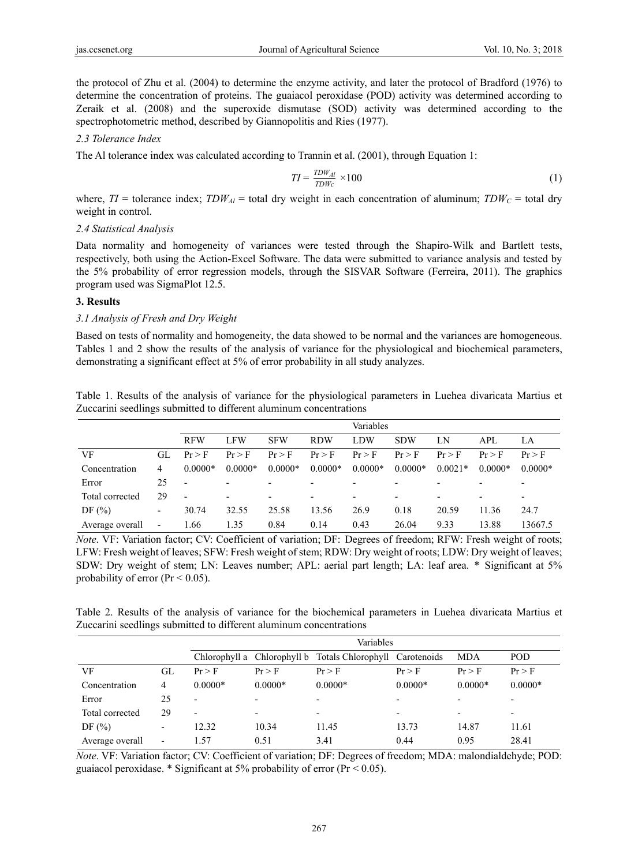the protocol of Zhu et al. (2004) to determine the enzyme activity, and later the protocol of Bradford (1976) to determine the concentration of proteins. The guaiacol peroxidase (POD) activity was determined according to Zeraik et al. (2008) and the superoxide dismutase (SOD) activity was determined according to the spectrophotometric method, described by Giannopolitis and Ries (1977).

#### *2.3 Tolerance Index*

The Al tolerance index was calculated according to Trannin et al. (2001), through Equation 1:

$$
TI = \frac{TDW_{Al}}{TDWc} \times 100\tag{1}
$$

where,  $TI =$  tolerance index;  $TDW_{\text{Al}} =$  total dry weight in each concentration of aluminum;  $TDW_C =$  total dry weight in control.

#### *2.4 Statistical Analysis*

Data normality and homogeneity of variances were tested through the Shapiro-Wilk and Bartlett tests, respectively, both using the Action-Excel Software. The data were submitted to variance analysis and tested by the 5% probability of error regression models, through the SISVAR Software (Ferreira, 2011). The graphics program used was SigmaPlot 12.5.

#### **3. Results**

## *3.1 Analysis of Fresh and Dry Weight*

Based on tests of normality and homogeneity, the data showed to be normal and the variances are homogeneous. Tables 1 and 2 show the results of the analysis of variance for the physiological and biochemical parameters, demonstrating a significant effect at 5% of error probability in all study analyzes.

| Table 1. Results of the analysis of variance for the physiological parameters in Luehea divaricata Martius et |  |  |  |
|---------------------------------------------------------------------------------------------------------------|--|--|--|
| Zuccarini seedlings submitted to different aluminum concentrations                                            |  |  |  |

|                 |                          |                          | Variables                |            |                          |           |                          |           |                          |           |
|-----------------|--------------------------|--------------------------|--------------------------|------------|--------------------------|-----------|--------------------------|-----------|--------------------------|-----------|
|                 |                          | <b>RFW</b>               | <b>LFW</b>               | <b>SFW</b> | <b>RDW</b>               | LDW       | <b>SDW</b>               | LN        | API.                     | LA        |
| VF              | GL.                      | Pr > F                   | Pr > F                   | Pr > F     | Pr > F                   | Pr > F    | Pr > F                   | Pr > F    | $Pr$ > F                 | $Pr$ > F  |
| Concentration   | 4                        | $0.0000*$                | $0.0000*$                | $0.0000*$  | $0.0000*$                | $0.0000*$ | $0.0000*$                | $0.0021*$ | $0.0000*$                | $0.0000*$ |
| Error           | 25                       | $\overline{\phantom{a}}$ | $\overline{\phantom{0}}$ |            | $\overline{\phantom{a}}$ |           | -                        |           | $\overline{\phantom{a}}$ |           |
| Total corrected | 29                       | $\overline{\phantom{a}}$ | $\overline{\phantom{0}}$ | -          | $\overline{\phantom{a}}$ | -         | $\overline{\phantom{0}}$ |           | $\overline{\phantom{0}}$ |           |
| DF $(\% )$      | $\overline{\phantom{a}}$ | 30.74                    | 32.55                    | 25.58      | 13.56                    | 26.9      | 0.18                     | 20.59     | 11.36                    | 24.7      |
| Average overall | $\overline{\phantom{a}}$ | 1.66                     | 1.35                     | 0.84       | 0.14                     | 0.43      | 26.04                    | 9.33      | 13.88                    | 13667.5   |

*Note*. VF: Variation factor; CV: Coefficient of variation; DF: Degrees of freedom; RFW: Fresh weight of roots; LFW: Fresh weight of leaves; SFW: Fresh weight of stem; RDW: Dry weight of roots; LDW: Dry weight of leaves; SDW: Dry weight of stem; LN: Leaves number; APL: aerial part length; LA: leaf area. \* Significant at 5% probability of error ( $Pr < 0.05$ ).

Table 2. Results of the analysis of variance for the biochemical parameters in Luehea divaricata Martius et Zuccarini seedlings submitted to different aluminum concentrations

|                 |                          | Variables                |           |                                                            |                          |            |                          |
|-----------------|--------------------------|--------------------------|-----------|------------------------------------------------------------|--------------------------|------------|--------------------------|
|                 |                          |                          |           | Chlorophyll a Chlorophyll b Totals Chlorophyll Carotenoids |                          | <b>MDA</b> | <b>POD</b>               |
| VF              | GL                       | Pr > F                   | Pr > F    | Pr > F                                                     | Pr > F                   | Pr > F     | Pr > F                   |
| Concentration   | 4                        | $0.0000*$                | $0.0000*$ | $0.0000*$                                                  | $0.0000*$                | $0.0000*$  | $0.0000*$                |
| Error           | 25                       | $\overline{\phantom{0}}$ |           | $\overline{\phantom{0}}$                                   | $\overline{\phantom{0}}$ |            |                          |
| Total corrected | 29                       | $\blacksquare$           |           | $\overline{\phantom{0}}$                                   |                          |            | $\overline{\phantom{0}}$ |
| DF $(\% )$      | $\overline{\phantom{a}}$ | 12.32                    | 10.34     | 11.45                                                      | 13.73                    | 14.87      | 11.61                    |
| Average overall | $\overline{\phantom{0}}$ | -57                      | 0.51      | 3.41                                                       | 0.44                     | 0.95       | 28.41                    |

*Note*. VF: Variation factor; CV: Coefficient of variation; DF: Degrees of freedom; MDA: malondialdehyde; POD: guaiacol peroxidase. \* Significant at 5% probability of error ( $Pr < 0.05$ ).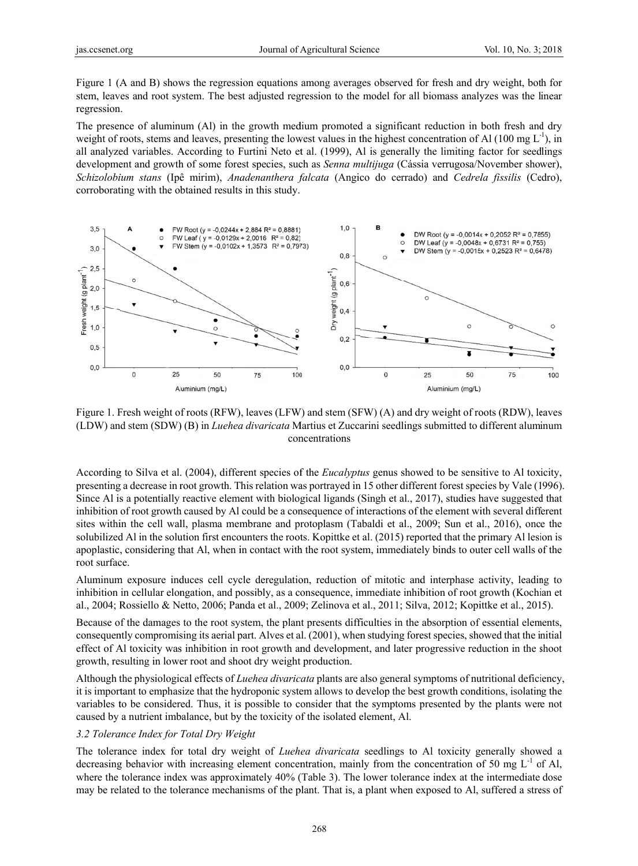Figure 1 (A and B) shows the regression equations among averages observed for fresh and dry weight, both for stem, leaves and root system. The best adjusted regression to the model for all biomass analyzes was the linear regression.

The presence of aluminum (Al) in the growth medium promoted a significant reduction in both fresh and dry weight of roots, stems and leaves, presenting the lowest values in the highest concentration of Al (100 mg  $L^1$ ), in all analyzed variables. According to Furtini Neto et al. (1999), Al is generally the limiting factor for seedlings development and growth of some forest species, such as *Senna multijuga* (Cássia verrugosa/November shower), Schizolobium stans (Ipê mirim), Anadenanthera falcata (Angico do cerrado) and Cedrela fissilis (Cedro), corroborating with the obtained results in this study.



Figure 1. Fresh weight of roots (RFW), leaves (LFW) and stem (SFW) (A) and dry weight of roots (RDW), leaves (LDW) and stem (SDW) (B) in *Luehea divaricata* Martius et Zuccarini seedlings submitted to different aluminum concentrations

According to Silva et al. (2004), different species of the *Eucalyptus* genus showed to be sensitive to Al toxicity, presenting a decrease in root growth. This relation was portrayed in 15 other different forest species by Vale (1996). Since Al is a potentially reactive element with biological ligands (Singh et al., 2017), studies have suggested that inhibition of root growth caused by Al could be a consequence of interactions of the element with several different sites within the cell wall, plasma membrane and protoplasm (Tabaldi et al., 2009; Sun et al., 2016), once the solubilized Al in the solution first encounters the roots. Kopittke et al. (2015) reported that the primary Al lesion is apoplastic, considering that Al, when in contact with the root system, immediately binds to outer cell walls of the root surface.

Aluminum exposure induces cell cycle deregulation, reduction of mitotic and interphase activity, leading to inhibition in cellular elongation, and possibly, as a consequence, immediate inhibition of root growth (Kochian et al., 2004; Rossiello & Netto, 2006; Panda et al., 2009; Zelinova et al., 2011; Silva, 2012; Kopittke et al., 2015).

Because of the damages to the root system, the plant presents difficulties in the absorption of essential elements, consequently compromising its aerial part. Alves et al. (2001), when studying forest species, showed that the initial effect of Al toxicity was inhibition in root growth and development, and later progressive reduction in the shoot growth, resulting in lower root and shoot dry weight production.

Although the physiological effects of *Luehea divaricata* plants are also general symptoms of nutritional deficiency, it is important to emphasize that the hydroponic system allows to develop the best growth conditions, isolating the variables to be considered. Thus, it is possible to consider that the symptoms presented by the plants were not caused by a nutrient imbalance, but by the toxicity of the isolated element, Al.

## 3.2 Tolerance Index for Total Dry Weight

The tolerance index for total dry weight of *Luehea divaricata* seedlings to Al toxicity generally showed a decreasing behavior with increasing element concentration, mainly from the concentration of 50 mg  $L^{-1}$  of Al, where the tolerance index was approximately 40% (Table 3). The lower tolerance index at the intermediate dose may be related to the tolerance mechanisms of the plant. That is, a plant when exposed to Al, suffered a stress of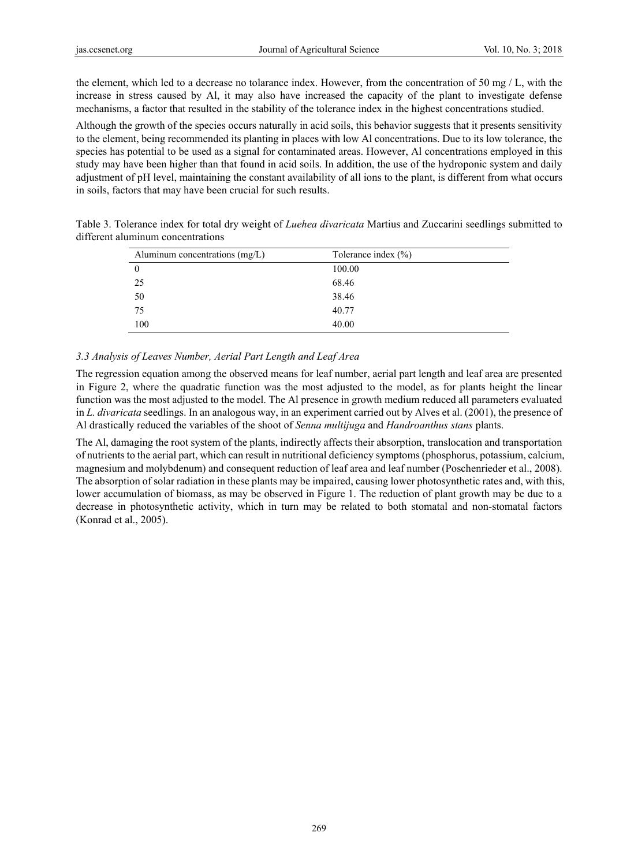the element, which led to a decrease no tolarance index. However, from the concentration of 50 mg / L, with the increase in stress caused by Al, it may also have increased the capacity of the plant to investigate defense mechanisms, a factor that resulted in the stability of the tolerance index in the highest concentrations studied.

Although the growth of the species occurs naturally in acid soils, this behavior suggests that it presents sensitivity to the element, being recommended its planting in places with low Al concentrations. Due to its low tolerance, the species has potential to be used as a signal for contaminated areas. However, Al concentrations employed in this study may have been higher than that found in acid soils. In addition, the use of the hydroponic system and daily adjustment of pH level, maintaining the constant availability of all ions to the plant, is different from what occurs in soils, factors that may have been crucial for such results.

| Table 3. Tolerance index for total dry weight of <i>Luehea divaricata</i> Martius and Zuccarini seedlings submitted to |                                    |  |
|------------------------------------------------------------------------------------------------------------------------|------------------------------------|--|
| different aluminum concentrations                                                                                      |                                    |  |
| $\Lambda$ luminum concentrations (mg/L)                                                                                | $T_{\alpha}$ laranga inday $(0/1)$ |  |

| Aluminum concentrations $(mg/L)$ | Tolerance index $(\% )$ |
|----------------------------------|-------------------------|
| $\theta$                         | 100.00                  |
| 25                               | 68.46                   |
| 50                               | 38.46                   |
| 75                               | 40.77                   |
| 100                              | 40.00                   |

## *3.3 Analysis of Leaves Number, Aerial Part Length and Leaf Area*

The regression equation among the observed means for leaf number, aerial part length and leaf area are presented in Figure 2, where the quadratic function was the most adjusted to the model, as for plants height the linear function was the most adjusted to the model. The Al presence in growth medium reduced all parameters evaluated in *L. divaricata* seedlings. In an analogous way, in an experiment carried out by Alves et al. (2001), the presence of Al drastically reduced the variables of the shoot of *Senna multijuga* and *Handroanthus stans* plants.

The Al, damaging the root system of the plants, indirectly affects their absorption, translocation and transportation of nutrients to the aerial part, which can result in nutritional deficiency symptoms (phosphorus, potassium, calcium, magnesium and molybdenum) and consequent reduction of leaf area and leaf number (Poschenrieder et al., 2008). The absorption of solar radiation in these plants may be impaired, causing lower photosynthetic rates and, with this, lower accumulation of biomass, as may be observed in Figure 1. The reduction of plant growth may be due to a decrease in photosynthetic activity, which in turn may be related to both stomatal and non-stomatal factors (Konrad et al., 2005).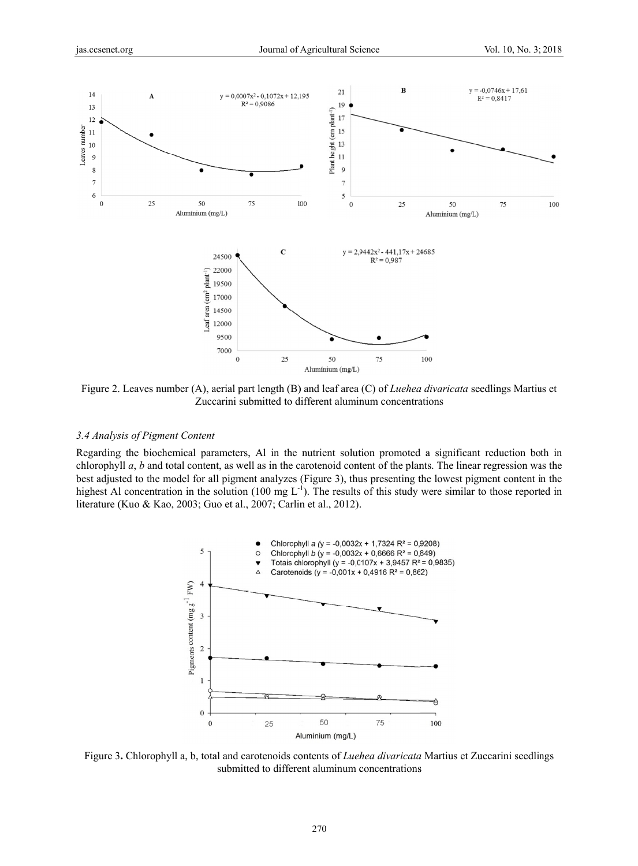

Figure 2. Leaves number (A), aerial part length (B) and leaf area (C) of *Luehea divaricata* seedlings Martius et Zuccarini submitted to different aluminum concentrations

## *3.4 Analys sis of Pigment Content*

Regarding the biochemical parameters, Al in the nutrient solution promoted a significant reduction both in chlorophyll *a*, *b* and total content, as well as in the carotenoid content of the plants. The linear regression was the best adjusted to the model for all pigment analyzes (Figure 3), thus presenting the lowest pigment content in the highest Al concentration in the solution (100 mg  $L^{-1}$ ). The results of this study were similar to those reported in literature (Kuo & Kao, 2003; Guo et al., 2007; Carlin et al., 2012).



Figure 3. Chlorophyll a, b, total and carotenoids contents of *Luehea divaricata* Martius et Zuccarini seedlings submitted to different aluminum concentrations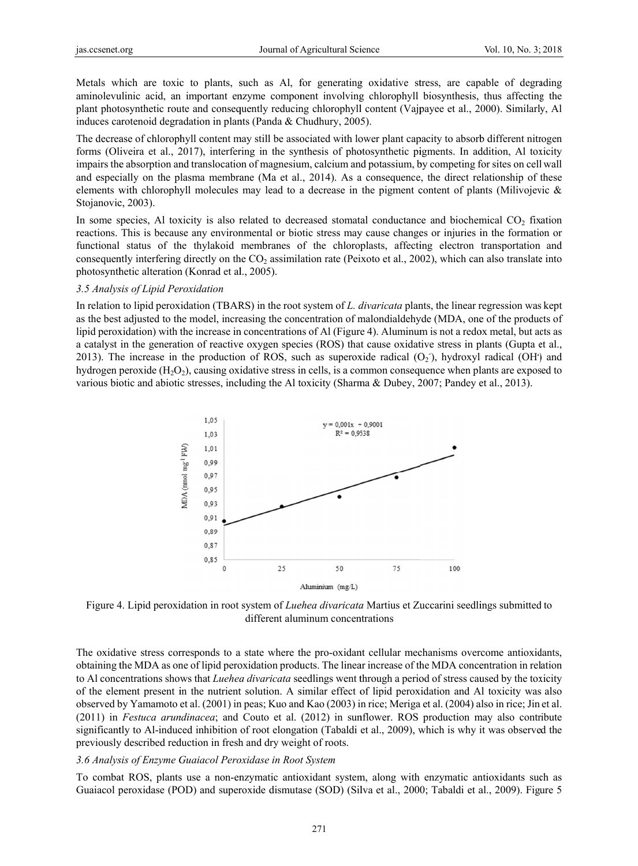Metals which are toxic to plants, such as Al, for generating oxidative stress, are capable of degrading aminolevulinic acid, an important enzyme component involving chlorophyll biosynthesis, thus affecting the plant photosynthetic route and consequently reducing chlorophyll content (Vajpayee et al., 2000). Similarly, Al induces carotenoid degradation in plants (Panda & Chudhury, 2005).

The decrease of chlorophyll content may still be associated with lower plant capacity to absorb different nitrogen forms (Oliveira et al., 2017), interfering in the synthesis of photosynthetic pigments. In addition, Al toxicity impairs the absorption and translocation of magnesium, calcium and potassium, by competing for sites on cell wall and especially on the plasma membrane (Ma et al., 2014). As a consequence, the direct relationship of these elements with chlorophyll molecules may lead to a decrease in the pigment content of plants (Milivojevic  $\&$ Stojanovic, 2003).

In some species, Al toxicity is also related to decreased stomatal conductance and biochemical CO<sub>2</sub> fixation reactions. This is because any environmental or biotic stress may cause changes or injuries in the formation or functional status of the thylakoid membranes of the chloroplasts, affecting electron transportation and consequently interfering directly on the CO<sub>2</sub> assimilation rate (Peixoto et al., 2002), which can also translate into photosynthetic alteration (Konrad et al., 2005).

#### 3.5 Analysis of Lipid Peroxidation

In relation to lipid peroxidation (TBARS) in the root system of L. divaricata plants, the linear regression was kept as the best adjusted to the model, increasing the concentration of malondialdehyde (MDA, one of the products of lipid peroxidation) with the increase in concentrations of Al (Figure 4). Aluminum is not a redox metal, but acts as a catalyst in the generation of reactive oxygen species (ROS) that cause oxidative stress in plants (Gupta et al., 2013). The increase in the production of ROS, such as superoxide radical  $(O_2)$ , hydroxyl radical  $(OH)$  and hydrogen peroxide  $(H_2O_2)$ , causing oxidative stress in cells, is a common consequence when plants are exposed to various biotic and abiotic stresses, including the Al toxicity (Sharma & Dubey, 2007; Pandey et al., 2013).



Figure 4. Lipid peroxidation in root system of *Luehea divaricata* Martius et Zuccarini seedlings submitted to different aluminum concentrations

The oxidative stress corresponds to a state where the pro-oxidant cellular mechanisms overcome antioxidants, obtaining the MDA as one of lipid peroxidation products. The linear increase of the MDA concentration in relation to Al concentrations shows that *Luehea divaricata* seedlings went through a period of stress caused by the toxicity of the element present in the nutrient solution. A similar effect of lipid peroxidation and Al toxicity was also observed by Yamamoto et al. (2001) in peas; Kuo and Kao (2003) in rice; Meriga et al. (2004) also in rice; Jin et al. (2011) in Festuca arundinacea; and Couto et al. (2012) in sunflower. ROS production may also contribute significantly to Al-induced inhibition of root elongation (Tabaldi et al., 2009), which is why it was observed the previously described reduction in fresh and dry weight of roots.

#### 3.6 Analysis of Enzyme Guaiacol Peroxidase in Root System

To combat ROS, plants use a non-enzymatic antioxidant system, along with enzymatic antioxidants such as Guaiacol peroxidase (POD) and superoxide dismutase (SOD) (Silva et al., 2000; Tabaldi et al., 2009). Figure 5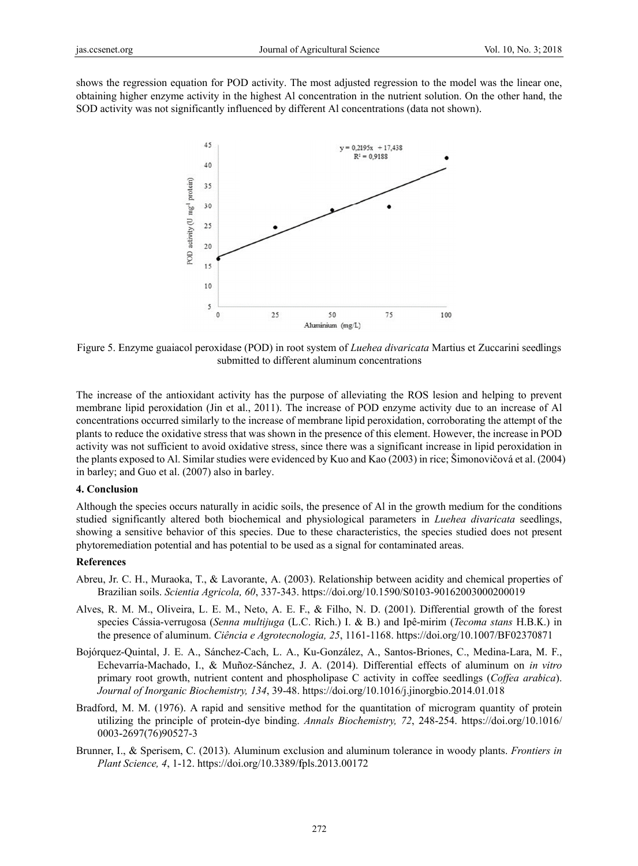shows the regression equation for POD activity. The most adjusted regression to the model was the linear one, obtaining higher enzyme activity in the highest Al concentration in the nutrient solution. On the other hand, the SOD activity was not significantly influenced by different Al concentrations (data not shown).



Figure 5. Enzyme guaiacol peroxidase (POD) in root system of *Luehea divaricata* Martius et Zuccarini seedlings submitted to different aluminum concentrations

The increase of the antioxidant activity has the purpose of alleviating the ROS lesion and helping to prevent membrane lipid peroxidation (Jin et al., 2011). The increase of POD enzyme activity due to an increase of Al concentrations occurred similarly to the increase of membrane lipid peroxidation, corroborating the attempt of the plants to reduce the oxidative stress that was shown in the presence of this element. However, the increase in POD activity was not sufficient to avoid oxidative stress, since there was a significant increase in lipid peroxidation in the plants exposed to Al. Similar studies were evidenced by Kuo and Kao (2003) in rice; Šimonovičová et al. (2004) in barley; and Guo et al. (2007) also in barley.

#### 4. Conclusion

Although the species occurs naturally in acidic soils, the presence of Al in the growth medium for the conditions studied significantly altered both biochemical and physiological parameters in *Luehea divaricata* seedlings, showing a sensitive behavior of this species. Due to these characteristics, the species studied does not present phytoremediation potential and has potential to be used as a signal for contaminated areas.

#### **References**

- Abreu, Jr. C. H., Muraoka, T., & Lavorante, A. (2003). Relationship between acidity and chemical properties of Brazilian soils. Scientia Agricola, 60, 337-343. https://doi.org/10.1590/S0103-90162003000200019
- Alves, R. M. M., Oliveira, L. E. M., Neto, A. E. F., & Filho, N. D. (2001). Differential growth of the forest species Cássia-verrugosa (Senna multijuga (L.C. Rich.) I. & B.) and Ipê-mirim (Tecoma stans H.B.K.) in the presence of aluminum. Ciência e Agrotecnologia, 25, 1161-1168. https://doi.org/10.1007/BF02370871
- Bojórquez-Quintal, J. E. A., Sánchez-Cach, L. A., Ku-González, A., Santos-Briones, C., Medina-Lara, M. F., Echevarría-Machado, I., & Muñoz-Sánchez, J. A. (2014). Differential effects of aluminum on in vitro primary root growth, nutrient content and phospholipase C activity in coffee seedlings (Coffea arabica). Journal of Inorganic Biochemistry, 134, 39-48. https://doi.org/10.1016/j.jinorgbio.2014.01.018
- Bradford, M. M. (1976). A rapid and sensitive method for the quantitation of microgram quantity of protein utilizing the principle of protein-dye binding. Annals Biochemistry, 72, 248-254. https://doi.org/10.1016/ 0003-2697(76)90527-3
- Brunner, I., & Sperisem, C. (2013). Aluminum exclusion and aluminum tolerance in woody plants. Frontiers in Plant Science, 4, 1-12. https://doi.org/10.3389/fpls.2013.00172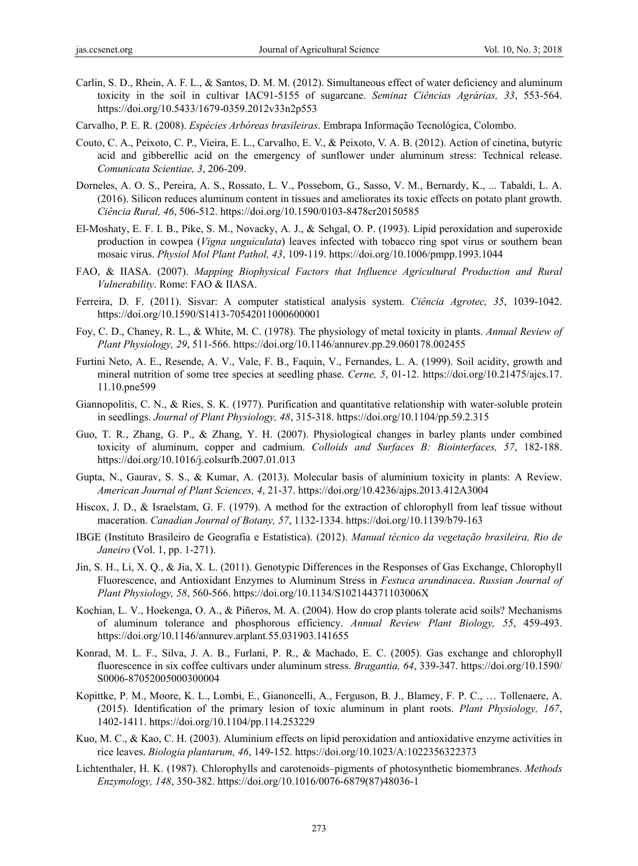- Carlin, S. D., Rhein, A. F. L., & Santos, D. M. M. (2012). Simultaneous effect of water deficiency and aluminum toxicity in the soil in cultivar IAC91-5155 of sugarcane. *Semina: Ciências Agrárias, 33*, 553-564. https://doi.org/10.5433/1679-0359.2012v33n2p553
- Carvalho, P. E. R. (2008). *Espécies Arbóreas brasileiras*. Embrapa Informação Tecnológica, Colombo.
- Couto, C. A., Peixoto, C. P., Vieira, E. L., Carvalho, E. V., & Peixoto, V. A. B. (2012). Action of cinetina, butyric acid and gibberellic acid on the emergency of sunflower under aluminum stress: Technical release. *Comunicata Scientiae, 3*, 206-209.
- Dorneles, A. O. S., Pereira, A. S., Rossato, L. V., Possebom, G., Sasso, V. M., Bernardy, K., ... Tabaldi, L. A. (2016). Silicon reduces aluminum content in tissues and ameliorates its toxic effects on potato plant growth. *Ciência Rural, 46*, 506-512. https://doi.org/10.1590/0103-8478cr20150585
- El-Moshaty, E. F. I. B., Pike, S. M., Novacky, A. J., & Sehgal, O. P. (1993). Lipid peroxidation and superoxide production in cowpea (*Vigna unguiculata*) leaves infected with tobacco ring spot virus or southern bean mosaic virus. *Physiol Mol Plant Pathol, 43*, 109-119. https://doi.org/10.1006/pmpp.1993.1044
- FAO, & IIASA. (2007). *Mapping Biophysical Factors that Influence Agricultural Production and Rural Vulnerability*. Rome: FAO & IIASA.
- Ferreira, D. F. (2011). Sisvar: A computer statistical analysis system. *Ciência Agrotec, 35*, 1039-1042. https://doi.org/10.1590/S1413-70542011000600001
- Foy, C. D., Chaney, R. L., & White, M. C. (1978). The physiology of metal toxicity in plants. *Annual Review of Plant Physiology, 29*, 511-566. https://doi.org/10.1146/annurev.pp.29.060178.002455
- Furtini Neto, A. E., Resende, A. V., Vale, F. B., Faquin, V., Fernandes, L. A. (1999). Soil acidity, growth and mineral nutrition of some tree species at seedling phase. *Cerne, 5*, 01-12. https://doi.org/10.21475/ajcs.17. 11.10.pne599
- Giannopolitis, C. N., & Ries, S. K. (1977). Purification and quantitative relationship with water-soluble protein in seedlings. *Journal of Plant Physiology, 48*, 315-318. https://doi.org/10.1104/pp.59.2.315
- Guo, T. R., Zhang, G. P., & Zhang, Y. H. (2007). Physiological changes in barley plants under combined toxicity of aluminum, copper and cadmium. *Colloids and Surfaces B: Biointerfaces, 57*, 182-188. https://doi.org/10.1016/j.colsurfb.2007.01.013
- Gupta, N., Gaurav, S. S., & Kumar, A. (2013). Molecular basis of aluminium toxicity in plants: A Review. *American Journal of Plant Sciences, 4*, 21-37. https://doi.org/10.4236/ajps.2013.412A3004
- Hiscox, J. D., & Israelstam, G. F. (1979). A method for the extraction of chlorophyll from leaf tissue without maceration. *Canadian Journal of Botany, 57*, 1132-1334. https://doi.org/10.1139/b79-163
- IBGE (Instituto Brasileiro de Geografia e Estatística). (2012). *Manual técnico da vegetação brasileira, Rio de Janeiro* (Vol. 1, pp. 1-271).
- Jin, S. H., Li, X. Q., & Jia, X. L. (2011). Genotypic Differences in the Responses of Gas Exchange, Chlorophyll Fluorescence, and Antioxidant Enzymes to Aluminum Stress in *Festuca arundinacea*. *Russian Journal of Plant Physiology, 58*, 560-566. https://doi.org/10.1134/S102144371103006X
- Kochian, L. V., Hoekenga, O. A., & Piñeros, M. A. (2004). How do crop plants tolerate acid soils? Mechanisms of aluminum tolerance and phosphorous efficiency. *Annual Review Plant Biology, 55*, 459-493. https://doi.org/10.1146/annurev.arplant.55.031903.141655
- Konrad, M. L. F., Silva, J. A. B., Furlani, P. R., & Machado, E. C. (2005). Gas exchange and chlorophyll fluorescence in six coffee cultivars under aluminum stress. *Bragantia, 64*, 339-347. https://doi.org/10.1590/ S0006-87052005000300004
- Kopittke, P. M., Moore, K. L., Lombi, E., Gianoncelli, A., Ferguson, B. J., Blamey, F. P. C., … Tollenaere, A. (2015). Identification of the primary lesion of toxic aluminum in plant roots. *Plant Physiology, 167*, 1402-1411. https://doi.org/10.1104/pp.114.253229
- Kuo, M. C., & Kao, C. H. (2003). Aluminium effects on lipid peroxidation and antioxidative enzyme activities in rice leaves. *Biologia plantarum, 46*, 149-152. https://doi.org/10.1023/A:1022356322373
- Lichtenthaler, H. K. (1987). Chlorophylls and carotenoids–pigments of photosynthetic biomembranes. *Methods Enzymology, 148*, 350-382. https://doi.org/10.1016/0076-6879(87)48036-1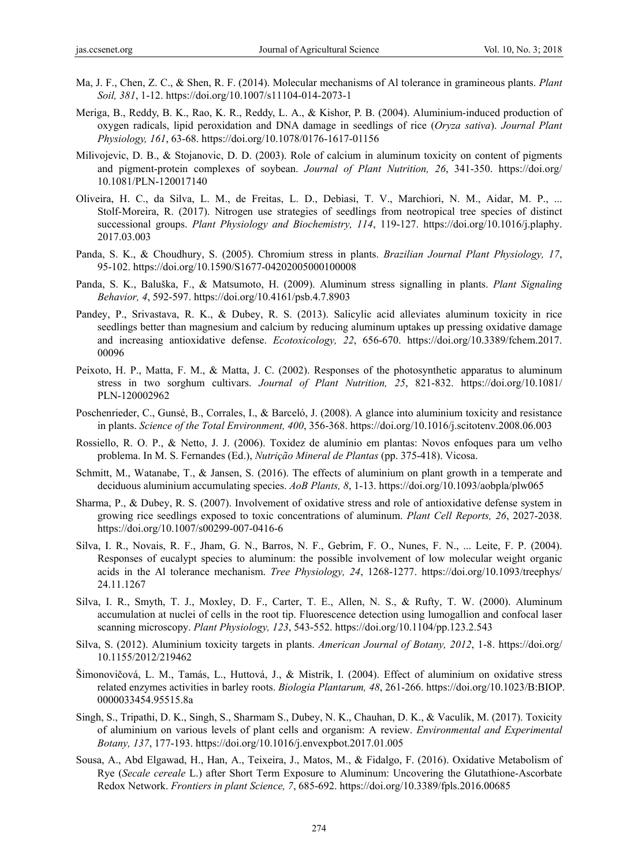- Ma, J. F., Chen, Z. C., & Shen, R. F. (2014). Molecular mechanisms of Al tolerance in gramineous plants. *Plant Soil, 381*, 1-12. https://doi.org/10.1007/s11104-014-2073-1
- Meriga, B., Reddy, B. K., Rao, K. R., Reddy, L. A., & Kishor, P. B. (2004). Aluminium-induced production of oxygen radicals, lipid peroxidation and DNA damage in seedlings of rice (*Oryza sativa*). *Journal Plant Physiology, 161*, 63-68. https://doi.org/10.1078/0176-1617-01156
- Milivojevic, D. B., & Stojanovic, D. D. (2003). Role of calcium in aluminum toxicity on content of pigments and pigment-protein complexes of soybean. *Journal of Plant Nutrition, 26*, 341-350. https://doi.org/ 10.1081/PLN-120017140
- Oliveira, H. C., da Silva, L. M., de Freitas, L. D., Debiasi, T. V., Marchiori, N. M., Aidar, M. P., ... Stolf-Moreira, R. (2017). Nitrogen use strategies of seedlings from neotropical tree species of distinct successional groups. *Plant Physiology and Biochemistry, 114*, 119-127. https://doi.org/10.1016/j.plaphy. 2017.03.003
- Panda, S. K., & Choudhury, S. (2005). Chromium stress in plants. *Brazilian Journal Plant Physiology, 17*, 95-102. https://doi.org/10.1590/S1677-04202005000100008
- Panda, S. K., Baluška, F., & Matsumoto, H. (2009). Aluminum stress signalling in plants. *Plant Signaling Behavior, 4*, 592-597. https://doi.org/10.4161/psb.4.7.8903
- Pandey, P., Srivastava, R. K., & Dubey, R. S. (2013). Salicylic acid alleviates aluminum toxicity in rice seedlings better than magnesium and calcium by reducing aluminum uptakes up pressing oxidative damage and increasing antioxidative defense. *Ecotoxicology, 22*, 656-670. https://doi.org/10.3389/fchem.2017. 00096
- Peixoto, H. P., Matta, F. M., & Matta, J. C. (2002). Responses of the photosynthetic apparatus to aluminum stress in two sorghum cultivars. *Journal of Plant Nutrition, 25*, 821-832. https://doi.org/10.1081/ PLN-120002962
- Poschenrieder, C., Gunsé, B., Corrales, I., & Barceló, J. (2008). A glance into aluminium toxicity and resistance in plants. *Science of the Total Environment, 400*, 356-368. https://doi.org/10.1016/j.scitotenv.2008.06.003
- Rossiello, R. O. P., & Netto, J. J. (2006). Toxidez de alumínio em plantas: Novos enfoques para um velho problema. In M. S. Fernandes (Ed.), *Nutrição Mineral de Plantas* (pp. 375-418). Vicosa.
- Schmitt, M., Watanabe, T., & Jansen, S. (2016). The effects of aluminium on plant growth in a temperate and deciduous aluminium accumulating species. *AoB Plants, 8*, 1-13. https://doi.org/10.1093/aobpla/plw065
- Sharma, P., & Dubey, R. S. (2007). Involvement of oxidative stress and role of antioxidative defense system in growing rice seedlings exposed to toxic concentrations of aluminum. *Plant Cell Reports, 26*, 2027-2038. https://doi.org/10.1007/s00299-007-0416-6
- Silva, I. R., Novais, R. F., Jham, G. N., Barros, N. F., Gebrim, F. O., Nunes, F. N., ... Leite, F. P. (2004). Responses of eucalypt species to aluminum: the possible involvement of low molecular weight organic acids in the Al tolerance mechanism. *Tree Physiology, 24*, 1268-1277. https://doi.org/10.1093/treephys/ 24.11.1267
- Silva, I. R., Smyth, T. J., Moxley, D. F., Carter, T. E., Allen, N. S., & Rufty, T. W. (2000). Aluminum accumulation at nuclei of cells in the root tip. Fluorescence detection using lumogallion and confocal laser scanning microscopy. *Plant Physiology, 123*, 543-552. https://doi.org/10.1104/pp.123.2.543
- Silva, S. (2012). Aluminium toxicity targets in plants. *American Journal of Botany, 2012*, 1-8. https://doi.org/ 10.1155/2012/219462
- Šimonovičová, L. M., Tamás, L., Huttová, J., & Mistrík, I. (2004). Effect of aluminium on oxidative stress related enzymes activities in barley roots. *Biologia Plantarum, 48*, 261-266. https://doi.org/10.1023/B:BIOP. 0000033454.95515.8a
- Singh, S., Tripathi, D. K., Singh, S., Sharmam S., Dubey, N. K., Chauhan, D. K., & Vaculík, M. (2017). Toxicity of aluminium on various levels of plant cells and organism: A review. *Environmental and Experimental Botany, 137*, 177-193. https://doi.org/10.1016/j.envexpbot.2017.01.005
- Sousa, A., Abd Elgawad, H., Han, A., Teixeira, J., Matos, M., & Fidalgo, F. (2016). Oxidative Metabolism of Rye (*Secale cereale* L.) after Short Term Exposure to Aluminum: Uncovering the Glutathione-Ascorbate Redox Network. *Frontiers in plant Science, 7*, 685-692. https://doi.org/10.3389/fpls.2016.00685